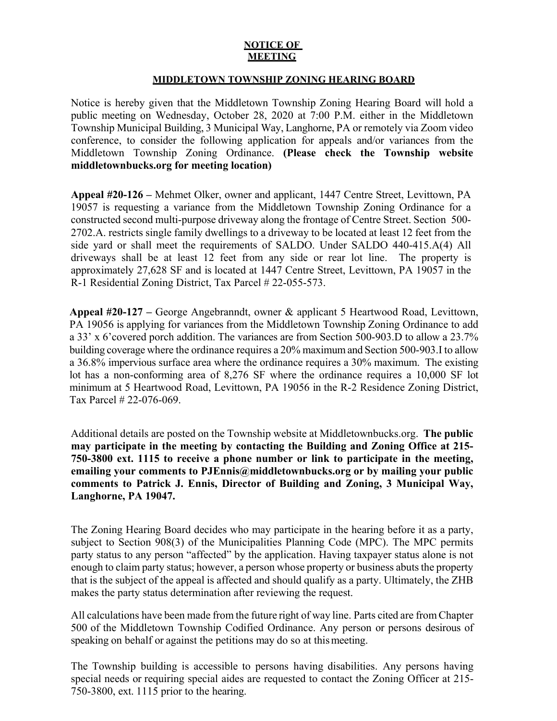## **NOTICE OF MEETING**

## **MIDDLETOWN TOWNSHIP ZONING HEARING BOARD**

Notice is hereby given that the Middletown Township Zoning Hearing Board will hold a public meeting on Wednesday, October 28, 2020 at 7:00 P.M. either in the Middletown Township Municipal Building, 3 Municipal Way, Langhorne, PA or remotely via Zoom video conference, to consider the following application for appeals and/or variances from the Middletown Township Zoning Ordinance. **(Please check the Township website middletownbucks.org for meeting location)** 

**Appeal #20-126 –** Mehmet Olker, owner and applicant, 1447 Centre Street, Levittown, PA 19057 is requesting a variance from the Middletown Township Zoning Ordinance for a constructed second multi-purpose driveway along the frontage of Centre Street. Section 500- 2702.A. restricts single family dwellings to a driveway to be located at least 12 feet from the side yard or shall meet the requirements of SALDO. Under SALDO 440-415.A(4) All driveways shall be at least 12 feet from any side or rear lot line. The property is approximately 27,628 SF and is located at 1447 Centre Street, Levittown, PA 19057 in the R-1 Residential Zoning District, Tax Parcel # 22-055-573.

**Appeal #20-127 –** George Angebranndt, owner & applicant 5 Heartwood Road, Levittown, PA 19056 is applying for variances from the Middletown Township Zoning Ordinance to add a 33' x 6'covered porch addition. The variances are from Section 500-903.D to allow a 23.7% building coverage where the ordinance requires a 20% maximum and Section 500-903.I to allow a 36.8% impervious surface area where the ordinance requires a 30% maximum. The existing lot has a non-conforming area of 8,276 SF where the ordinance requires a 10,000 SF lot minimum at 5 Heartwood Road, Levittown, PA 19056 in the R-2 Residence Zoning District, Tax Parcel # 22-076-069.

Additional details are posted on the Township website at Middletownbucks.org. **The public may participate in the meeting by contacting the Building and Zoning Office at 215- 750-3800 ext. 1115 to receive a phone number or link to participate in the meeting, emailing your comments to PJEnnis@middletownbucks.org or by mailing your public comments to Patrick J. Ennis, Director of Building and Zoning, 3 Municipal Way, Langhorne, PA 19047.** 

The Zoning Hearing Board decides who may participate in the hearing before it as a party, subject to Section 908(3) of the Municipalities Planning Code (MPC). The MPC permits party status to any person "affected" by the application. Having taxpayer status alone is not enough to claim party status; however, a person whose property or business abuts the property that is the subject of the appeal is affected and should qualify as a party. Ultimately, the ZHB makes the party status determination after reviewing the request.

All calculations have been made from the future right of way line. Parts cited are from Chapter 500 of the Middletown Township Codified Ordinance. Any person or persons desirous of speaking on behalf or against the petitions may do so at this meeting.

The Township building is accessible to persons having disabilities. Any persons having special needs or requiring special aides are requested to contact the Zoning Officer at 215- 750-3800, ext. 1115 prior to the hearing.